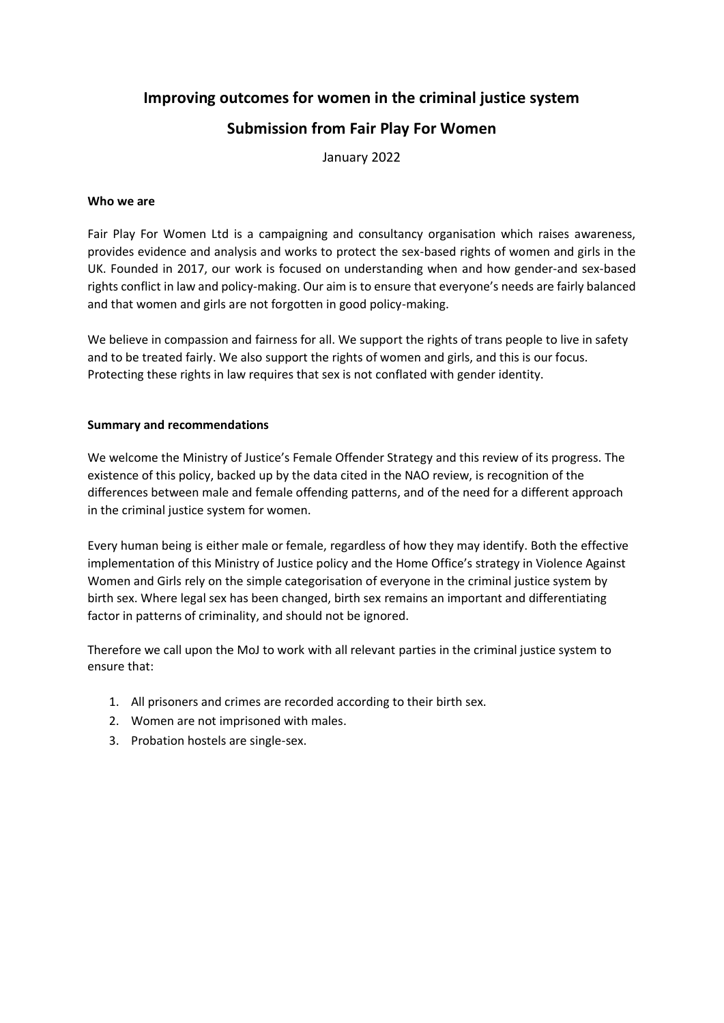# **Improving outcomes for women in the criminal justice system Submission from Fair Play For Women**

January 2022

#### **Who we are**

Fair Play For Women Ltd is a campaigning and consultancy organisation which raises awareness, provides evidence and analysis and works to protect the sex-based rights of women and girls in the UK. Founded in 2017, our work is focused on understanding when and how gender-and sex-based rights conflict in law and policy-making. Our aim is to ensure that everyone's needs are fairly balanced and that women and girls are not forgotten in good policy-making.

We believe in compassion and fairness for all. We support the rights of trans people to live in safety and to be treated fairly. We also support the rights of women and girls, and this is our focus. Protecting these rights in law requires that sex is not conflated with gender identity.

#### **Summary and recommendations**

We welcome the Ministry of Justice's Female Offender Strategy and this review of its progress. The existence of this policy, backed up by the data cited in the NAO review, is recognition of the differences between male and female offending patterns, and of the need for a different approach in the criminal justice system for women.

Every human being is either male or female, regardless of how they may identify. Both the effective implementation of this Ministry of Justice policy and the Home Office's strategy in Violence Against Women and Girls rely on the simple categorisation of everyone in the criminal justice system by birth sex. Where legal sex has been changed, birth sex remains an important and differentiating factor in patterns of criminality, and should not be ignored.

Therefore we call upon the MoJ to work with all relevant parties in the criminal justice system to ensure that:

- 1. All prisoners and crimes are recorded according to their birth sex.
- 2. Women are not imprisoned with males.
- 3. Probation hostels are single-sex.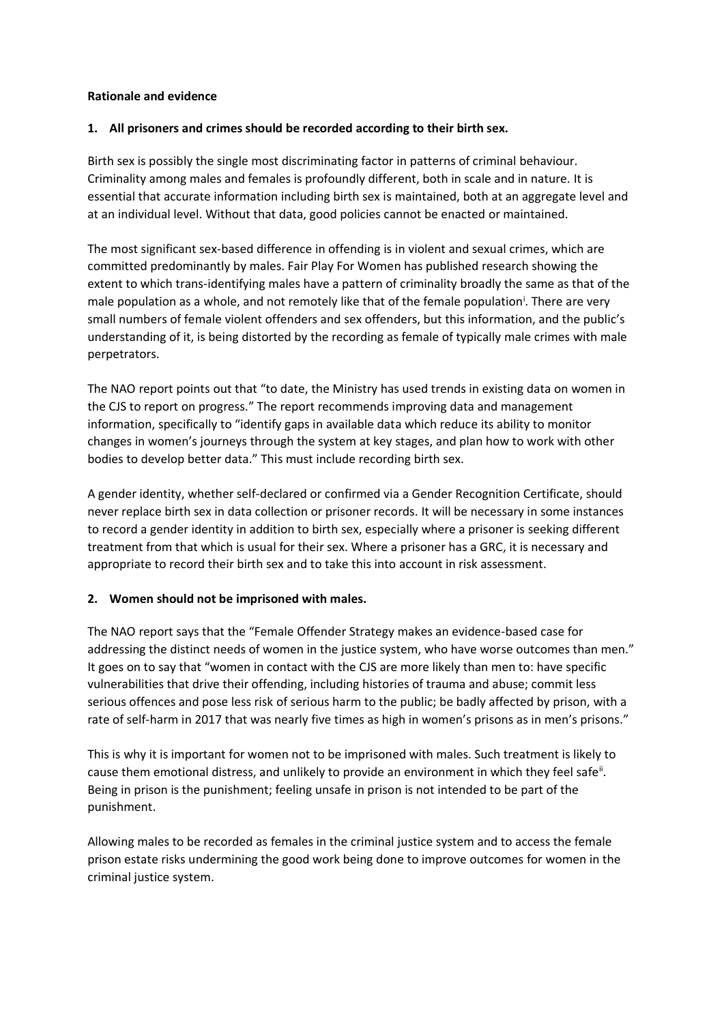#### **Rationale and evidence**

#### **1. All prisoners and crimes should be recorded according to their birth sex.**

Birth sex is possibly the single most discriminating factor in patterns of criminal behaviour. Criminality among males and females is profoundly different, both in scale and in nature. It is essential that accurate information including birth sex is maintained, both at an aggregate level and at an individual level. Without that data, good policies cannot be enacted or maintained.

The most significant sex-based difference in offending is in violent and sexual crimes, which are committed predominantly by males. Fair Play For Women has published research showing the extent to which trans-identifying males have a pattern of criminality broadly the same as that of the male population as a whole, and not remotely like that of the female population<sup>i</sup>. There are very small numbers of female violent offenders and sex offenders, but this information, and the public's understanding of it, is being distorted by the recording as female of typically male crimes with male perpetrators.

The NAO report points out that "to date, the Ministry has used trends in existing data on women in the CJS to report on progress." The report recommends improving data and management information, specifically to "identify gaps in available data which reduce its ability to monitor changes in women's journeys through the system at key stages, and plan how to work with other bodies to develop better data." This must include recording birth sex.

A gender identity, whether self-declared or confirmed via a Gender Recognition Certificate, should never replace birth sex in data collection or prisoner records. It will be necessary in some instances to record a gender identity in addition to birth sex, especially where a prisoner is seeking different treatment from that which is usual for their sex. Where a prisoner has a GRC, it is necessary and appropriate to record their birth sex and to take this into account in risk assessment.

# **2. Women should not be imprisoned with males.**

The NAO report says that the "Female Offender Strategy makes an evidence-based case for addressing the distinct needs of women in the justice system, who have worse outcomes than men." It goes on to say that "women in contact with the CJS are more likely than men to: have specific vulnerabilities that drive their offending, including histories of trauma and abuse; commit less serious offences and pose less risk of serious harm to the public; be badly affected by prison, with a rate of self-harm in 2017 that was nearly five times as high in women's prisons as in men's prisons."

This is why it is important for women not to be imprisoned with males. Such treatment is likely to cause them emotional distress, and unlikely to provide an environment in which they feel safe<sup>ii</sup>. Being in prison is the punishment; feeling unsafe in prison is not intended to be part of the punishment.

Allowing males to be recorded as females in the criminal justice system and to access the female prison estate risks undermining the good work being done to improve outcomes for women in the criminal justice system.